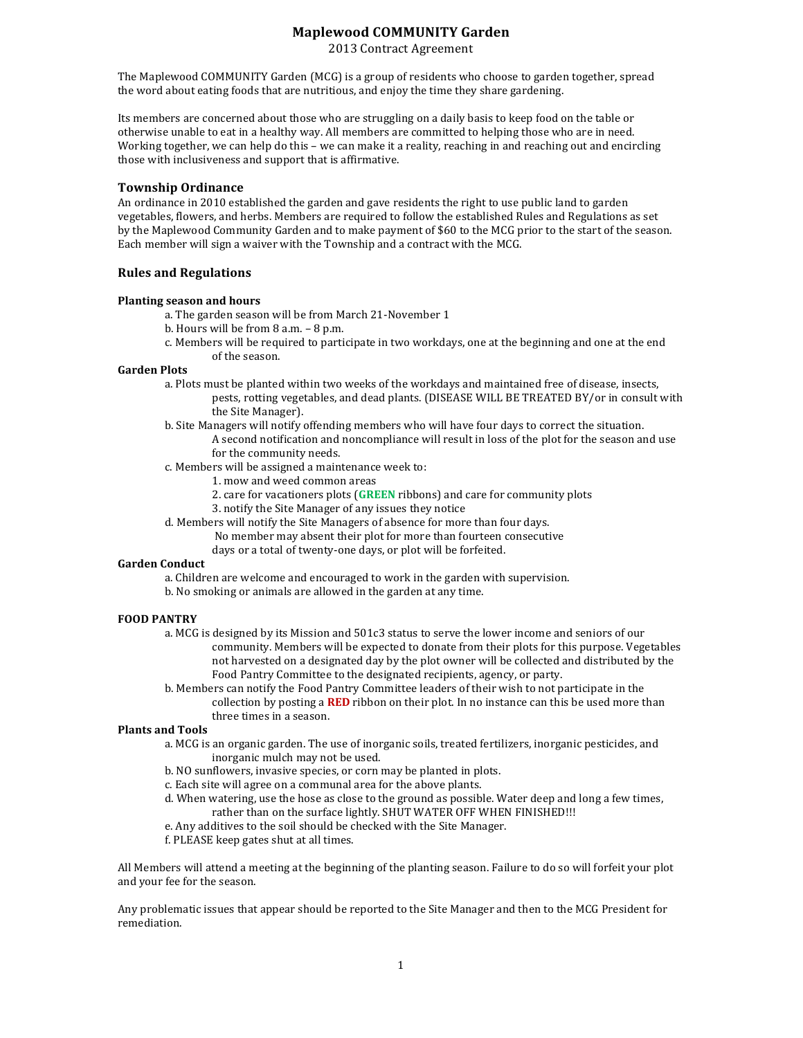# **Maplewood)COMMUNITY)Garden**

2013 Contract Agreement

The Maplewood COMMUNITY Garden (MCG) is a group of residents who choose to garden together, spread the word about eating foods that are nutritious, and enjoy the time they share gardening.

Its members are concerned about those who are struggling on a daily basis to keep food on the table or otherwise unable to eat in a healthy way. All members are committed to helping those who are in need. Working together, we can help do this – we can make it a reality, reaching in and reaching out and encircling" those with inclusiveness and support that is affirmative.

## **Township)Ordinance**

An ordinance in 2010 established the garden and gave residents the right to use public land to garden vegetables, flowers, and herbs. Members are required to follow the established Rules and Regulations as set by the Maplewood Community Garden and to make payment of \$60 to the MCG prior to the start of the season. Each member will sign a waiver with the Township and a contract with the MCG.

### **Rules)and)Regulations**

#### **Planting season and hours**

a. The garden season will be from March 21-November 1

- b. Hours will be from  $8$  a.m.  $8$  p.m.
- c. Members will be required to participate in two workdays, one at the beginning and one at the end of the season.

#### Garden Plots

- a. Plots must be planted within two weeks of the workdays and maintained free of disease, insects, pests, rotting vegetables, and dead plants. (DISEASE WILL BE TREATED BY/or in consult with the Site Manager).
- b. Site Managers will notify offending members who will have four days to correct the situation. A second notification and noncompliance will result in loss of the plot for the season and use for the community needs.
- c. Members will be assigned a maintenance week to:
	- 1. mow and weed common areas
	- 2. care for vacationers plots (**GREEN** ribbons) and care for community plots
	- 3. notify the Site Manager of any issues they notice
- d. Members will notify the Site Managers of absence for more than four days.
	- No member may absent their plot for more than fourteen consecutive
		- days or a total of twenty-one days, or plot will be forfeited.

### **Garden Conduct**

- a. Children are welcome and encouraged to work in the garden with supervision.
- b. No smoking or animals are allowed in the garden at any time.

## **FOOD)PANTRY**

- a. MCG is designed by its Mission and 501c3 status to serve the lower income and seniors of our community. Members will be expected to donate from their plots for this purpose. Vegetables not harvested on a designated day by the plot owner will be collected and distributed by the Food Pantry Committee to the designated recipients, agency, or party.
- b. Members can notify the Food Pantry Committee leaders of their wish to not participate in the collection by posting a **RED** ribbon on their plot. In no instance can this be used more than three times in a season.

#### **Plants and Tools**

- a. MCG is an organic garden. The use of inorganic soils, treated fertilizers, inorganic pesticides, and inorganic mulch may not be used.
- b. NO sunflowers, invasive species, or corn may be planted in plots.
- c. Each site will agree on a communal area for the above plants.
- d. When watering, use the hose as close to the ground as possible. Water deep and long a few times, rather than on the surface lightly. SHUT WATER OFF WHEN FINISHED!!!
- e. Any additives to the soil should be checked with the Site Manager.
- f. PLEASE keep gates shut at all times.

All Members will attend a meeting at the beginning of the planting season. Failure to do so will forfeit your plot and your fee for the season.

Any problematic issues that appear should be reported to the Site Manager and then to the MCG President for remediation.